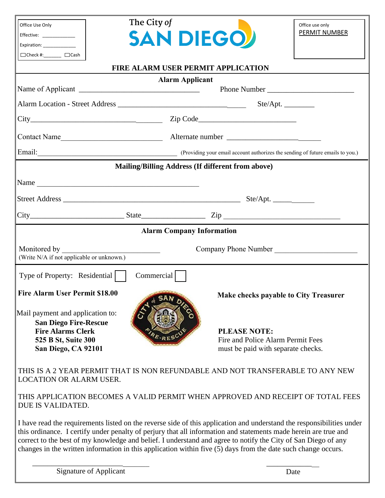| Office Use Only                                                                       | The City of |                                                                                | Office use only                              |
|---------------------------------------------------------------------------------------|-------------|--------------------------------------------------------------------------------|----------------------------------------------|
| Effective: _____________                                                              |             | <b>SAN DIEGOV</b>                                                              | <b>PERMIT NUMBER</b>                         |
| Expiration: _____________                                                             |             |                                                                                |                                              |
| $\Box$ Check #:_______ $\Box$ Cash                                                    |             |                                                                                |                                              |
|                                                                                       |             | FIRE ALARM USER PERMIT APPLICATION                                             |                                              |
|                                                                                       |             | <b>Alarm Applicant</b>                                                         |                                              |
|                                                                                       |             |                                                                                |                                              |
|                                                                                       |             |                                                                                |                                              |
|                                                                                       |             |                                                                                |                                              |
|                                                                                       |             |                                                                                |                                              |
| Email: (Providing your email account authorizes the sending of future emails to you.) |             |                                                                                |                                              |
|                                                                                       |             | Mailing/Billing Address (If different from above)                              |                                              |
|                                                                                       |             |                                                                                |                                              |
|                                                                                       |             |                                                                                |                                              |
|                                                                                       |             |                                                                                |                                              |
|                                                                                       |             | $\text{City}$ $\text{City}$ $\text{List}$                                      |                                              |
|                                                                                       |             | <b>Alarm Company Information</b>                                               |                                              |
| Monitored by<br>Company Phone Number<br><u> Alexandria (m. 1888)</u>                  |             |                                                                                |                                              |
| (Write N/A if not applicable or unknown.)                                             |             |                                                                                |                                              |
| Type of Property: Residential                                                         | Commercial  |                                                                                |                                              |
| Fire Alarm User Permit \$18.00                                                        |             |                                                                                | <b>Make checks payable to City Treasurer</b> |
|                                                                                       |             |                                                                                |                                              |
| Mail payment and application to:<br><b>San Diego Fire-Rescue</b>                      |             |                                                                                |                                              |
| <b>Fire Alarms Clerk</b>                                                              |             | <b>PLEASE NOTE:</b>                                                            |                                              |
| 525 B St, Suite 300                                                                   |             | Fire and Police Alarm Permit Fees                                              |                                              |
| San Diego, CA 92101                                                                   |             | must be paid with separate checks.                                             |                                              |
|                                                                                       |             | THIS IS A 2 YEAR PERMIT THAT IS NON REFUNDABLE AND NOT TRANSFERABLE TO ANY NEW |                                              |
| <b>LOCATION OR ALARM USER.</b>                                                        |             |                                                                                |                                              |

THIS APPLICATION BECOMES A VALID PERMIT WHEN APPROVED AND RECEIPT OF TOTAL FEES DUE IS VALIDATED.

I have read the requirements listed on the reverse side of this application and understand the responsibilities under this ordinance. I certify under penalty of perjury that all information and statements made herein are true and correct to the best of my knowledge and belief. I understand and agree to notify the City of San Diego of any changes in the written information in this application within five (5) days from the date such change occurs.

\_\_\_\_\_\_\_\_\_\_\_\_\_\_\_\_\_\_\_\_\_\_\_\_\_\_\_\_\_\_\_ \_\_\_\_\_\_\_\_\_\_\_\_\_\_ Signature of Applicant Date